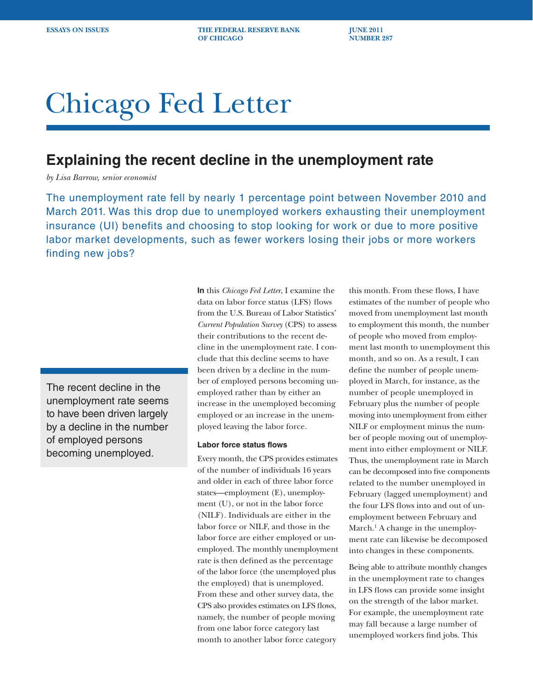**ESSAYS ON ISSUES** THE FEDERAL RESERVE BANK **THE FEDERAL RESERVE BANK OF CHICAGO NUMBER 287** 

# Chicago Fed Letter

## **Explaining the recent decline in the unemployment rate**

*by Lisa Barrow, senior economist*

The unemployment rate fell by nearly 1 percentage point between November 2010 and March 2011. Was this drop due to unemployed workers exhausting their unemployment insurance (UI) benefits and choosing to stop looking for work or due to more positive labor market developments, such as fewer workers losing their jobs or more workers finding new jobs?

The recent decline in the unemployment rate seems to have been driven largely by a decline in the number of employed persons becoming unemployed.

**In** this *Chicago Fed Letter*, I examine the data on labor force status (LFS) flows from the U.S. Bureau of Labor Statistics' *Current Population Survey* (CPS) to assess their contributions to the recent decline in the unemployment rate. I conclude that this decline seems to have been driven by a decline in the number of employed persons becoming unemployed rather than by either an increase in the unemployed becoming employed or an increase in the unemployed leaving the labor force.

### **Labor force status flows**

Every month, the CPS provides estimates of the number of individuals 16 years and older in each of three labor force states—employment (E), unemployment (U), or not in the labor force (NILF). Individuals are either in the labor force or NILF, and those in the labor force are either employed or unemployed. The monthly unemployment rate is then defined as the percentage of the labor force (the unemployed plus the employed) that is unemployed. From these and other survey data, the CPS also provides estimates on LFS flows, namely, the number of people moving from one labor force category last month to another labor force category

this month. From these flows, I have estimates of the number of people who moved from unemployment last month to employment this month, the number of people who moved from employment last month to unemployment this month, and so on. As a result, I can define the number of people unemployed in March, for instance, as the number of people unemployed in February plus the number of people moving into unemployment from either NILF or employment minus the number of people moving out of unemployment into either employment or NILF. Thus, the unemployment rate in March can be decomposed into five components related to the number unemployed in February (lagged unemployment) and the four LFS flows into and out of unemployment between February and March.<sup>1</sup> A change in the unemployment rate can likewise be decomposed into changes in these components.

Being able to attribute monthly changes in the unemployment rate to changes in LFS flows can provide some insight on the strength of the labor market. For example, the unemployment rate may fall because a large number of unemployed workers find jobs. This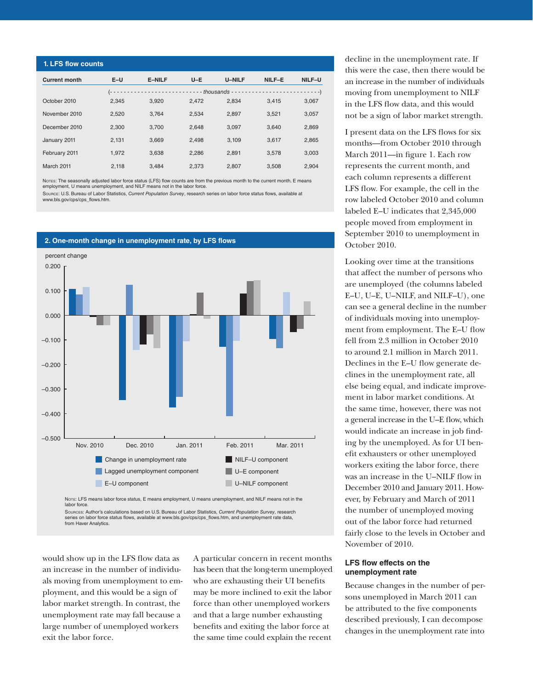| 1. LFS flow counts   |       |               |       |               |        |        |
|----------------------|-------|---------------|-------|---------------|--------|--------|
| <b>Current month</b> | $E-U$ | <b>E-NILF</b> | $U-E$ | <b>U-NILF</b> | NILF-E | NILF-U |
|                      |       |               |       |               |        |        |
| October 2010         | 2,345 | 3.920         | 2.472 | 2.834         | 3.415  | 3,067  |
| November 2010        | 2,520 | 3.764         | 2,534 | 2,897         | 3,521  | 3,057  |
| December 2010        | 2,300 | 3.700         | 2.648 | 3.097         | 3.640  | 2,869  |
| January 2011         | 2,131 | 3.669         | 2.498 | 3.109         | 3.617  | 2.865  |
| February 2011        | 1,972 | 3.638         | 2.286 | 2.891         | 3.578  | 3,003  |
| March 2011           | 2.118 | 3.484         | 2.373 | 2.807         | 3,508  | 2.904  |

Noτεs: The seasonally adjusted labor force status (LFS) flow counts are from the previous month to the current month. E means<br>employment, U means unemployment, and NILF means not in the labor force.

Source: U.S. Bureau of Labor Statistics, *Current Population Survey*, research series on labor force status flows, available at www.bls.gov/cps/cps\_flows.htm.

**2. One-month change in unemployment rate, by LFS flows**



series on labor force status flows, available at www.bls.gov/cps/cps\_flows.htm, and unemployment rate data, from Haver Analytics.

would show up in the LFS flow data as an increase in the number of individuals moving from unemployment to employment, and this would be a sign of labor market strength. In contrast, the unemployment rate may fall because a large number of unemployed workers exit the labor force.

A particular concern in recent months has been that the long-term unemployed who are exhausting their UI benefits may be more inclined to exit the labor force than other unemployed workers and that a large number exhausting benefits and exiting the labor force at the same time could explain the recent

decline in the unemployment rate. If this were the case, then there would be an increase in the number of individuals moving from unemployment to NILF in the LFS flow data, and this would not be a sign of labor market strength.

I present data on the LFS flows for six months—from October 2010 through March 2011—in figure 1. Each row represents the current month, and each column represents a different LFS flow. For example, the cell in the row labeled October 2010 and column labeled E–U indicates that 2,345,000 people moved from employment in September 2010 to unemployment in October 2010.

Looking over time at the transitions that affect the number of persons who are unemployed (the columns labeled E–U, U–E, U–NILF, and NILF–U), one can see a general decline in the number of individuals moving into unemployment from employment. The E–U flow fell from 2.3 million in October 2010 to around 2.1 million in March 2011. Declines in the E–U flow generate declines in the unemployment rate, all else being equal, and indicate improvement in labor market conditions. At the same time, however, there was not a general increase in the U–E flow, which would indicate an increase in job finding by the unemployed. As for UI benefit exhausters or other unemployed workers exiting the labor force, there was an increase in the U–NILF flow in December 2010 and January 2011. However, by February and March of 2011 the number of unemployed moving out of the labor force had returned fairly close to the levels in October and November of 2010.

### **LFS flow effects on the unemployment rate**

Because changes in the number of persons unemployed in March 2011 can be attributed to the five components described previously, I can decompose changes in the unemployment rate into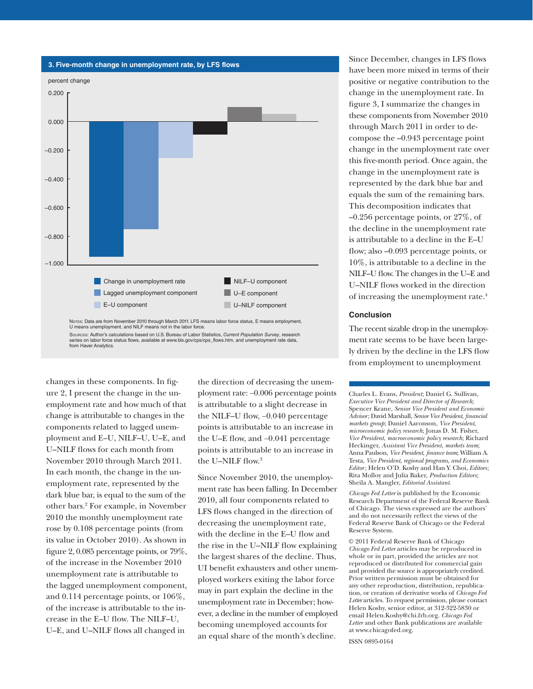

series on labor force status flows, available at www.bls.gov/cps/cps\_flows.htm, and unemployment rate data, from Haver Analytics.

changes in these components. In figure 2, I present the change in the unemployment rate and how much of that change is attributable to changes in the components related to lagged unemployment and E–U, NILF–U, U–E, and U–NILF flows for each month from November 2010 through March 2011. In each month, the change in the unemployment rate, represented by the dark blue bar, is equal to the sum of the other bars.2 For example, in November 2010 the monthly unemployment rate rose by 0.108 percentage points (from its value in October 2010). As shown in figure 2, 0.085 percentage points, or 79%, of the increase in the November 2010 unemployment rate is attributable to the lagged unemployment component, and 0.114 percentage points, or 106%, of the increase is attributable to the increase in the E–U flow. The NILF–U, U–E, and U–NILF flows all changed in

the direction of decreasing the unemployment rate: −0.006 percentage points is attributable to a slight decrease in the NILF–U flow, −0.040 percentage points is attributable to an increase in the U–E flow, and −0.041 percentage points is attributable to an increase in the U–NILF flow.3

Since November 2010, the unemployment rate has been falling. In December 2010, all four components related to LFS flows changed in the direction of decreasing the unemployment rate, with the decline in the E–U flow and the rise in the U–NILF flow explaining the largest shares of the decline. Thus, UI benefit exhausters and other unemployed workers exiting the labor force may in part explain the decline in the unemployment rate in December; however, a decline in the number of employed becoming unemployed accounts for an equal share of the month's decline.

Since December, changes in LFS flows have been more mixed in terms of their positive or negative contribution to the change in the unemployment rate. In figure 3, I summarize the changes in these components from November 2010 through March 2011 in order to decompose the –0.943 percentage point change in the unemployment rate over this five-month period. Once again, the change in the unemployment rate is represented by the dark blue bar and equals the sum of the remaining bars. This decomposition indicates that –0.256 percentage points, or 27%, of the decline in the unemployment rate is attributable to a decline in the E–U flow; also –0.093 percentage points, or 10%, is attributable to a decline in the NILF–U flow. The changesin the U–E and U–NILF flows worked in the direction of increasing the unemployment rate.4

#### **Conclusion**

The recent sizable drop in the unemployment rate seems to be have been largely driven by the decline in the LFS flow from employment to unemployment

Charles L. Evans, *President*; Daniel G. Sullivan, *Executive Vice President and Director of Research*; Spencer Krane, *Senior Vice President and Economic Advisor*; David Marshall, *Senior Vice President*, *financial markets group*; Daniel Aaronson, *Vice President*, *microeconomic policy research*; Jonas D. M. Fisher, *Vice President*, *macroeconomic policy research*; Richard Heckinger, *Assistant Vice President*, *markets team*; Anna Paulson, *Vice President*, *finance team*; William A. Testa, *Vice President*, *regional programs*, *and Economics Editor*; Helen O'D. Koshy and Han Y. Choi, *Editors* ; Rita Molloy and Julia Baker, *Production Editors*; Sheila A. Mangler, *Editorial Assistant.* 

*Chicago Fed Letter* is published by the Economic Research Department of the Federal Reserve Bank of Chicago. The views expressed are the authors' and do not necessarily reflect the views of the Federal Reserve Bank of Chicago or the Federal Reserve System.

© 2011 Federal Reserve Bank of Chicago *Chicago Fed Letter* articles may be reproduced in whole or in part, provided the articles are not reproduced or distributed for commercial gain and provided the source is appropriately credited. Prior written permission must be obtained for any other reproduction, distribution, republication, or creation of derivative works of *Chicago Fed Letter* articles. To request permission, please contact Helen Koshy, senior editor, at 312-322-5830 or email Helen.Koshy@chi.frb.org. *Chicago Fed Letter* and other Bank publications are available at www.chicagofed.org.

ISSN 0895-0164